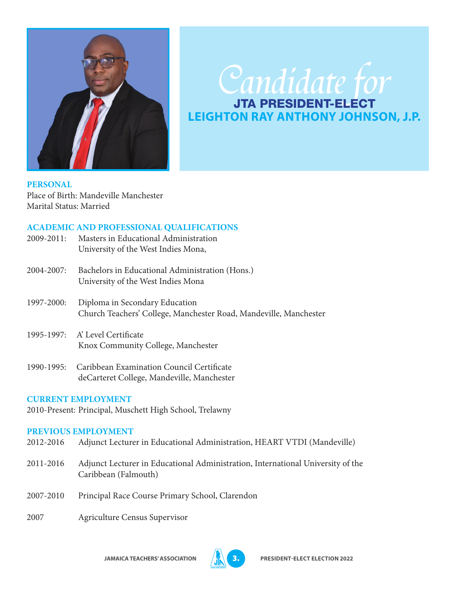

# Candidate for **LEIGHTON RAY ANTHONY JOHNSON, J.P.**

**PERSONAL**  Place of Birth: Mandeville Manchester Marital Status: Married

## **ACADEMIC AND PROFESSIONAL QUALIFICATIONS**

2009-2011: Masters in Educational Administration University of the West Indies Mona, 2004-2007: Bachelors in Educational Administration (Hons.) University of the West Indies Mona 1997-2000: Diploma in Secondary Education Church Teachers' College, Manchester Road, Mandeville, Manchester 1995-1997: A' Level Certificate Knox Community College, Manchester 1990-1995: Caribbean Examination Council Certificate

deCarteret College, Mandeville, Manchester

#### **CURRENT EMPLOYMENT**

2010-Present: Principal, Muschett High School, Trelawny

#### **PREVIOUS EMPLOYMENT**

- 2012-2016 Adjunct Lecturer in Educational Administration, HEART VTDI (Mandeville)
- 2011-2016 Adjunct Lecturer in Educational Administration, International University of the Caribbean (Falmouth)
- 2007-2010 Principal Race Course Primary School, Clarendon
- 2007 Agriculture Census Supervisor

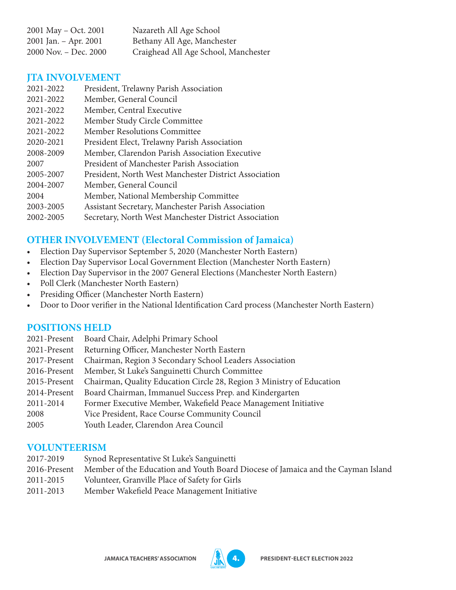| 2001 May – Oct. 2001  | Nazareth All Age School              |
|-----------------------|--------------------------------------|
| 2001 Jan. – Apr. 2001 | Bethany All Age, Manchester          |
| 2000 Nov. – Dec. 2000 | Craighead All Age School, Manchester |

### **JTA INVOLVEMENT**

| 2021-2022 | President, Trelawny Parish Association                |
|-----------|-------------------------------------------------------|
| 2021-2022 | Member, General Council                               |
| 2021-2022 | Member, Central Executive                             |
| 2021-2022 | Member Study Circle Committee                         |
| 2021-2022 | Member Resolutions Committee                          |
| 2020-2021 | President Elect, Trelawny Parish Association          |
| 2008-2009 | Member, Clarendon Parish Association Executive        |
| 2007      | President of Manchester Parish Association            |
| 2005-2007 | President, North West Manchester District Association |
| 2004-2007 | Member, General Council                               |
| 2004      | Member, National Membership Committee                 |
| 2003-2005 | Assistant Secretary, Manchester Parish Association    |
| 2002-2005 | Secretary, North West Manchester District Association |

## **OTHER INVOLVEMENT (Electoral Commission of Jamaica)**

- Election Day Supervisor September 5, 2020 (Manchester North Eastern)
- Election Day Supervisor Local Government Election (Manchester North Eastern)
- Election Day Supervisor in the 2007 General Elections (Manchester North Eastern)
- Poll Clerk (Manchester North Eastern)
- Presiding Officer (Manchester North Eastern)
- Door to Door verifier in the National Identification Card process (Manchester North Eastern)

## **POSITIONS HELD**

- 2021-Present Board Chair, Adelphi Primary School
- 2021-Present Returning Officer, Manchester North Eastern
- 2017-Present Chairman, Region 3 Secondary School Leaders Association
- 2016-Present Member, St Luke's Sanguinetti Church Committee
- 2015-Present Chairman, Quality Education Circle 28, Region 3 Ministry of Education
- 2014-Present Board Chairman, Immanuel Success Prep. and Kindergarten
- 2011-2014 Former Executive Member, Wakefield Peace Management Initiative
- 2008 Vice President, Race Course Community Council
- 2005 Youth Leader, Clarendon Area Council

#### **VOLUNTEERISM**

- 2017-2019 Synod Representative St Luke's Sanguinetti
- 2016-Present Member of the Education and Youth Board Diocese of Jamaica and the Cayman Island
- 2011-2015 Volunteer, Granville Place of Safety for Girls
- 2011-2013 Member Wakefield Peace Management Initiative

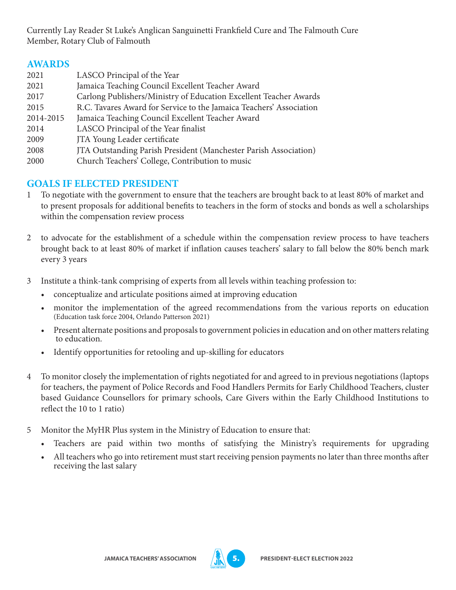Currently Lay Reader St Luke's Anglican Sanguinetti Frankfield Cure and The Falmouth Cure Member, Rotary Club of Falmouth

## **AWARDS**

| 2021      | LASCO Principal of the Year                                         |
|-----------|---------------------------------------------------------------------|
| 2021      | Jamaica Teaching Council Excellent Teacher Award                    |
| 2017      | Carlong Publishers/Ministry of Education Excellent Teacher Awards   |
| 2015      | R.C. Tavares Award for Service to the Jamaica Teachers' Association |
| 2014-2015 | Jamaica Teaching Council Excellent Teacher Award                    |
| 2014      | LASCO Principal of the Year finalist                                |
| 2009      | JTA Young Leader certificate                                        |
| 2008      | JTA Outstanding Parish President (Manchester Parish Association)    |
| 2000      | Church Teachers' College, Contribution to music                     |

## **GOALS IF ELECTED PRESIDENT**

- 1 To negotiate with the government to ensure that the teachers are brought back to at least 80% of market and to present proposals for additional benefits to teachers in the form of stocks and bonds as well a scholarships within the compensation review process
- 2 to advocate for the establishment of a schedule within the compensation review process to have teachers brought back to at least 80% of market if inflation causes teachers' salary to fall below the 80% bench mark every 3 years
- 3 Institute a think-tank comprising of experts from all levels within teaching profession to:
	- conceptualize and articulate positions aimed at improving education
	- monitor the implementation of the agreed recommendations from the various reports on education (Education task force 2004, Orlando Patterson 2021)
	- Present alternate positions and proposals to government policies in education and on other matters relating to education.
	- Identify opportunities for retooling and up-skilling for educators
- 4 To monitor closely the implementation of rights negotiated for and agreed to in previous negotiations (laptops for teachers, the payment of Police Records and Food Handlers Permits for Early Childhood Teachers, cluster based Guidance Counsellors for primary schools, Care Givers within the Early Childhood Institutions to reflect the 10 to 1 ratio)
- 5 Monitor the MyHR Plus system in the Ministry of Education to ensure that:
	- Teachers are paid within two months of satisfying the Ministry's requirements for upgrading
	- All teachers who go into retirement must start receiving pension payments no later than three months after receiving the last salary